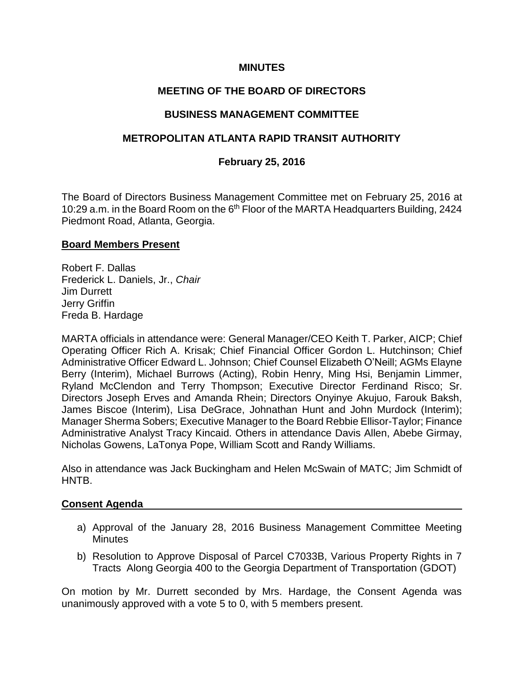# **MINUTES**

# **MEETING OF THE BOARD OF DIRECTORS**

### **BUSINESS MANAGEMENT COMMITTEE**

# **METROPOLITAN ATLANTA RAPID TRANSIT AUTHORITY**

### **February 25, 2016**

The Board of Directors Business Management Committee met on February 25, 2016 at 10:29 a.m. in the Board Room on the 6<sup>th</sup> Floor of the MARTA Headquarters Building, 2424 Piedmont Road, Atlanta, Georgia.

#### **Board Members Present**

Robert F. Dallas Frederick L. Daniels, Jr., *Chair* Jim Durrett Jerry Griffin Freda B. Hardage

MARTA officials in attendance were: General Manager/CEO Keith T. Parker, AICP; Chief Operating Officer Rich A. Krisak; Chief Financial Officer Gordon L. Hutchinson; Chief Administrative Officer Edward L. Johnson; Chief Counsel Elizabeth O'Neill; AGMs Elayne Berry (Interim), Michael Burrows (Acting), Robin Henry, Ming Hsi, Benjamin Limmer, Ryland McClendon and Terry Thompson; Executive Director Ferdinand Risco; Sr. Directors Joseph Erves and Amanda Rhein; Directors Onyinye Akujuo, Farouk Baksh, James Biscoe (Interim), Lisa DeGrace, Johnathan Hunt and John Murdock (Interim); Manager Sherma Sobers; Executive Manager to the Board Rebbie Ellisor-Taylor; Finance Administrative Analyst Tracy Kincaid. Others in attendance Davis Allen, Abebe Girmay, Nicholas Gowens, LaTonya Pope, William Scott and Randy Williams.

Also in attendance was Jack Buckingham and Helen McSwain of MATC; Jim Schmidt of HNTB.

### **Consent Agenda**

- a) Approval of the January 28, 2016 Business Management Committee Meeting **Minutes**
- b) Resolution to Approve Disposal of Parcel C7033B, Various Property Rights in 7 Tracts Along Georgia 400 to the Georgia Department of Transportation (GDOT)

On motion by Mr. Durrett seconded by Mrs. Hardage, the Consent Agenda was unanimously approved with a vote 5 to 0, with 5 members present.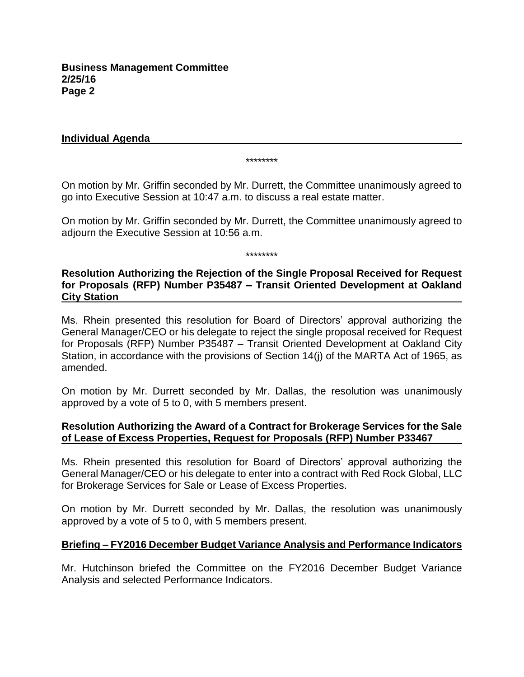### **Individual Agenda**

\*\*\*\*\*\*\*\*

On motion by Mr. Griffin seconded by Mr. Durrett, the Committee unanimously agreed to go into Executive Session at 10:47 a.m. to discuss a real estate matter.

On motion by Mr. Griffin seconded by Mr. Durrett, the Committee unanimously agreed to adjourn the Executive Session at 10:56 a.m.

\*\*\*\*\*\*\*\*

# **Resolution Authorizing the Rejection of the Single Proposal Received for Request for Proposals (RFP) Number P35487 – Transit Oriented Development at Oakland City Station**

Ms. Rhein presented this resolution for Board of Directors' approval authorizing the General Manager/CEO or his delegate to reject the single proposal received for Request for Proposals (RFP) Number P35487 – Transit Oriented Development at Oakland City Station, in accordance with the provisions of Section 14(j) of the MARTA Act of 1965, as amended.

On motion by Mr. Durrett seconded by Mr. Dallas, the resolution was unanimously approved by a vote of 5 to 0, with 5 members present.

### **Resolution Authorizing the Award of a Contract for Brokerage Services for the Sale of Lease of Excess Properties, Request for Proposals (RFP) Number P33467**

Ms. Rhein presented this resolution for Board of Directors' approval authorizing the General Manager/CEO or his delegate to enter into a contract with Red Rock Global, LLC for Brokerage Services for Sale or Lease of Excess Properties.

On motion by Mr. Durrett seconded by Mr. Dallas, the resolution was unanimously approved by a vote of 5 to 0, with 5 members present.

# **Briefing – FY2016 December Budget Variance Analysis and Performance Indicators**

Mr. Hutchinson briefed the Committee on the FY2016 December Budget Variance Analysis and selected Performance Indicators.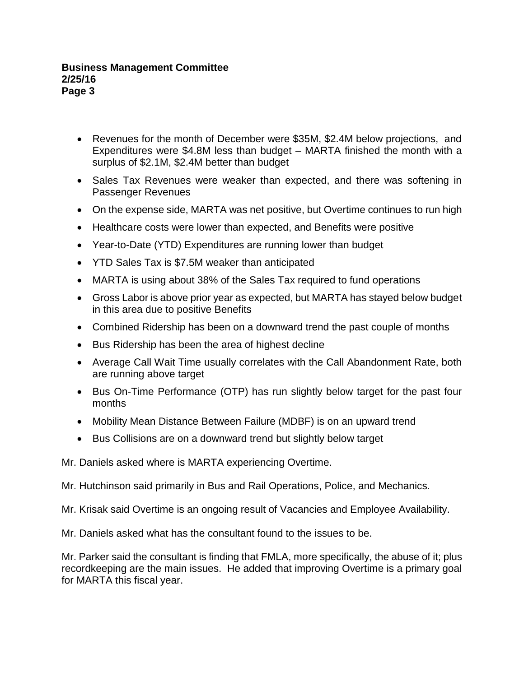- Revenues for the month of December were \$35M, \$2.4M below projections, and Expenditures were \$4.8M less than budget – MARTA finished the month with a surplus of \$2.1M, \$2.4M better than budget
- Sales Tax Revenues were weaker than expected, and there was softening in Passenger Revenues
- On the expense side, MARTA was net positive, but Overtime continues to run high
- Healthcare costs were lower than expected, and Benefits were positive
- Year-to-Date (YTD) Expenditures are running lower than budget
- YTD Sales Tax is \$7.5M weaker than anticipated
- MARTA is using about 38% of the Sales Tax required to fund operations
- Gross Labor is above prior year as expected, but MARTA has stayed below budget in this area due to positive Benefits
- Combined Ridership has been on a downward trend the past couple of months
- Bus Ridership has been the area of highest decline
- Average Call Wait Time usually correlates with the Call Abandonment Rate, both are running above target
- Bus On-Time Performance (OTP) has run slightly below target for the past four months
- Mobility Mean Distance Between Failure (MDBF) is on an upward trend
- Bus Collisions are on a downward trend but slightly below target

Mr. Daniels asked where is MARTA experiencing Overtime.

Mr. Hutchinson said primarily in Bus and Rail Operations, Police, and Mechanics.

Mr. Krisak said Overtime is an ongoing result of Vacancies and Employee Availability.

Mr. Daniels asked what has the consultant found to the issues to be.

Mr. Parker said the consultant is finding that FMLA, more specifically, the abuse of it; plus recordkeeping are the main issues. He added that improving Overtime is a primary goal for MARTA this fiscal year.